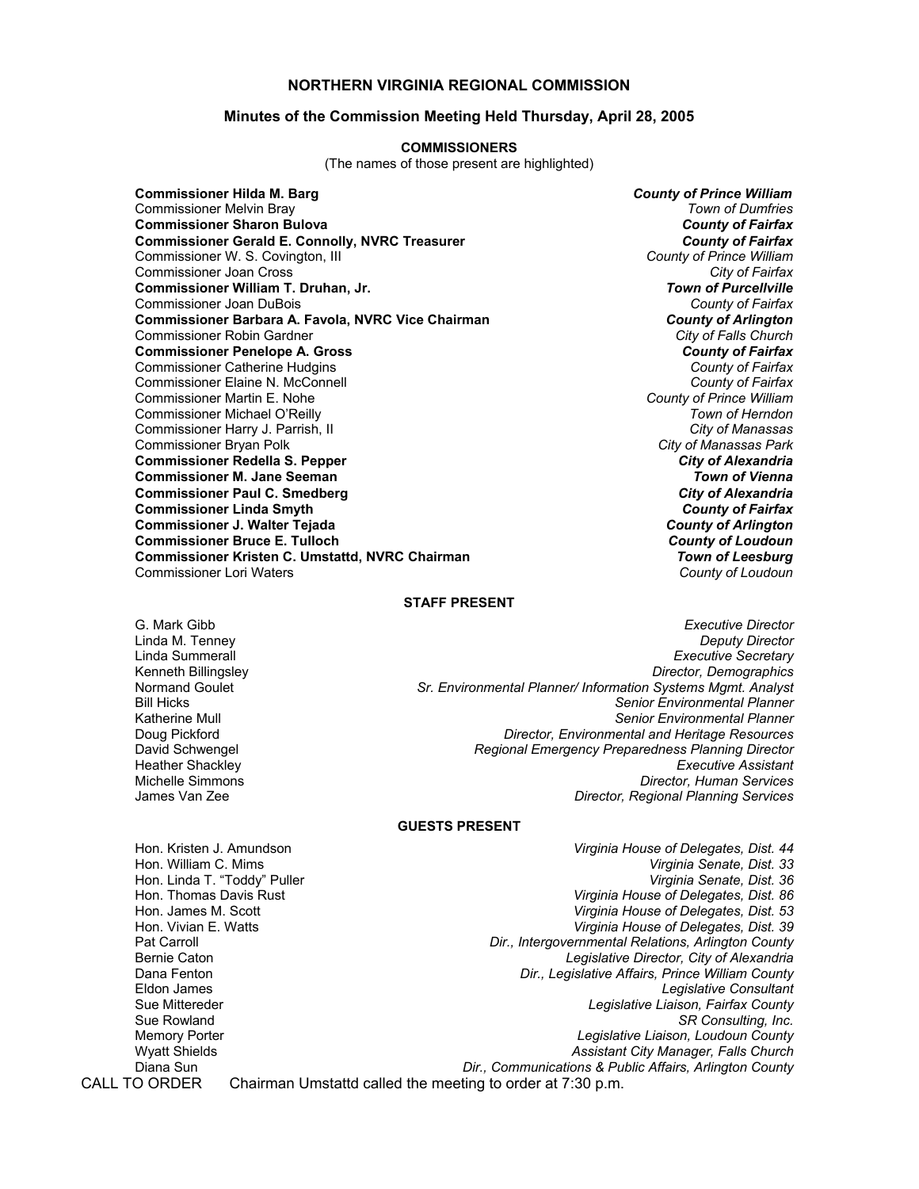## **NORTHERN VIRGINIA REGIONAL COMMISSION**

### **Minutes of the Commission Meeting Held Thursday, April 28, 2005**

#### **COMMISSIONERS**

(The names of those present are highlighted)

**Commissioner Hilda M. Barg** *County of Prince William* Commissioner Melvin Bray *Town of Dumfries* **Commissioner Sharon Bulova** *County of Fairfax* **Commissioner Gerald E. Connolly, NVRC Treasurer** *County of Fairfax***<br>
Commissioner W. S. Covington, III and Treasurer** *and Treasurer and County of Prince William* Commissioner W. S. Covington, III *County of Prince William* Commissioner Joan Cross *City of Fairfax* **Commissioner William T. Druhan, Jr.** Commissioner Joan DuBois *County of Fairfax* **Commissioner Barbara A. Favola, NVRC Vice Chairman** *County of Arlington* **Commissioner Robin Gardner** *Commissioner Robin* **Gardner** Commissioner Robin Gardner *City of Falls Church* **Commissioner Penelope A. Gross** *County of Fairfax* Commissioner Catherine Hudgins *County of Fairfax* Commissioner Elaine N. McConnell *County of Fairfax* Commissioner Martin E. Nohe *County of Prince William* Commissioner Michael O'Reilly *Town of Herndon* Commissioner Harry J. Parrish, II *City of Manassas* Commissioner Bryan Polk *City of Manassas Park* **Commissioner Redella S. Pepper** *City of Alexandria* **Commissioner M. Jane Seeman** *Town of Vienna* **Commissioner Paul C. Smedberg** *City of Alexandria* **Commissioner Linda Smyth** *County of Fairfax* **Commissioner J. Walter Tejada** *County of Arlington* **Commissioner Bruce E. Tulloch** *County of Loudoun* **Commissioner Kristen C. Umstattd, NVRC Chairman** *Town of Leesburg* Commissioner Lori Waters *County of Loudoun*

#### **STAFF PRESENT**

G. Mark Gibb *Executive Director* Linda M. Tenney *Deputy Director* Linda Summerall *Executive Secretary* Kenneth Billingsley *Director, Demographics* Normand Goulet *Sr. Environmental Planner/ Information Systems Mgmt. Analyst* **Senior Environmental Planner** Katherine Mull *Senior Environmental Planner* **Director, Environmental and Heritage Resources** David Schwengel *Regional Emergency Preparedness Planning Director* Heather Shackley *Executive Assistant* Michelle Simmons *Director, Human Services* James Van Zee *Director, Regional Planning Services*

## **GUESTS PRESENT**

Hon. Kristen J. Amundson *Virginia House of Delegates, Dist. 44* Hon. William C. Mims *Virginia Senate, Dist. 33* Hon. Linda T. "Toddy" Puller *Virginia Senate, Dist. 36* Hon. Thomas Davis Rust *Virginia House of Delegates, Dist. 86* Hon. James M. Scott *Virginia House of Delegates, Dist. 53* Hon. Vivian E. Watts *Virginia House of Delegates, Dist. 39* Pat Carroll *Dir., Intergovernmental Relations, Arlington County* Bernie Caton *Legislative Director, City of Alexandria* Dana Fenton *Dir., Legislative Affairs, Prince William County* **Legislative Consultant** Sue Mittereder *Legislative Liaison, Fairfax County* Sue Rowland *SR Consulting, Inc.* Memory Porter *Legislative Liaison, Loudoun County* Assistant City Manager, Falls Church Diana Sun *Dir., Communications & Public Affairs, Arlington County* CALL TO ORDER Chairman Umstattd called the meeting to order at 7:30 p.m.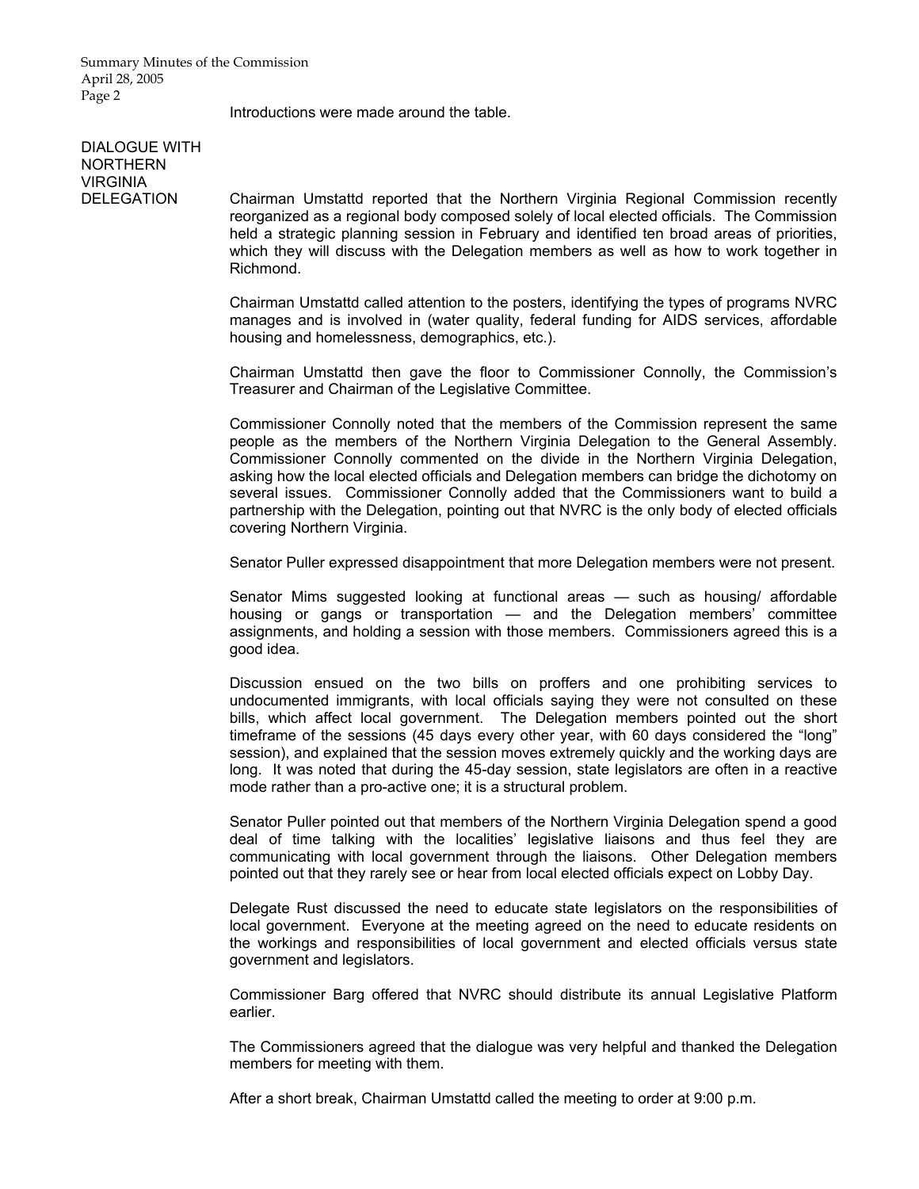Introductions were made around the table.

# DIALOGUE WITH NORTHERN VIRGINIA

DELEGATION Chairman Umstattd reported that the Northern Virginia Regional Commission recently reorganized as a regional body composed solely of local elected officials. The Commission held a strategic planning session in February and identified ten broad areas of priorities, which they will discuss with the Delegation members as well as how to work together in Richmond.

> Chairman Umstattd called attention to the posters, identifying the types of programs NVRC manages and is involved in (water quality, federal funding for AIDS services, affordable housing and homelessness, demographics, etc.).

> Chairman Umstattd then gave the floor to Commissioner Connolly, the Commission's Treasurer and Chairman of the Legislative Committee.

> Commissioner Connolly noted that the members of the Commission represent the same people as the members of the Northern Virginia Delegation to the General Assembly. Commissioner Connolly commented on the divide in the Northern Virginia Delegation, asking how the local elected officials and Delegation members can bridge the dichotomy on several issues. Commissioner Connolly added that the Commissioners want to build a partnership with the Delegation, pointing out that NVRC is the only body of elected officials covering Northern Virginia.

> Senator Puller expressed disappointment that more Delegation members were not present.

 Senator Mims suggested looking at functional areas — such as housing/ affordable housing or gangs or transportation — and the Delegation members' committee assignments, and holding a session with those members. Commissioners agreed this is a good idea.

 Discussion ensued on the two bills on proffers and one prohibiting services to undocumented immigrants, with local officials saying they were not consulted on these bills, which affect local government. The Delegation members pointed out the short timeframe of the sessions (45 days every other year, with 60 days considered the "long" session), and explained that the session moves extremely quickly and the working days are long. It was noted that during the 45-day session, state legislators are often in a reactive mode rather than a pro-active one; it is a structural problem.

 Senator Puller pointed out that members of the Northern Virginia Delegation spend a good deal of time talking with the localities' legislative liaisons and thus feel they are communicating with local government through the liaisons. Other Delegation members pointed out that they rarely see or hear from local elected officials expect on Lobby Day.

 Delegate Rust discussed the need to educate state legislators on the responsibilities of local government. Everyone at the meeting agreed on the need to educate residents on the workings and responsibilities of local government and elected officials versus state government and legislators.

Commissioner Barg offered that NVRC should distribute its annual Legislative Platform earlier.

 The Commissioners agreed that the dialogue was very helpful and thanked the Delegation members for meeting with them.

After a short break, Chairman Umstattd called the meeting to order at 9:00 p.m.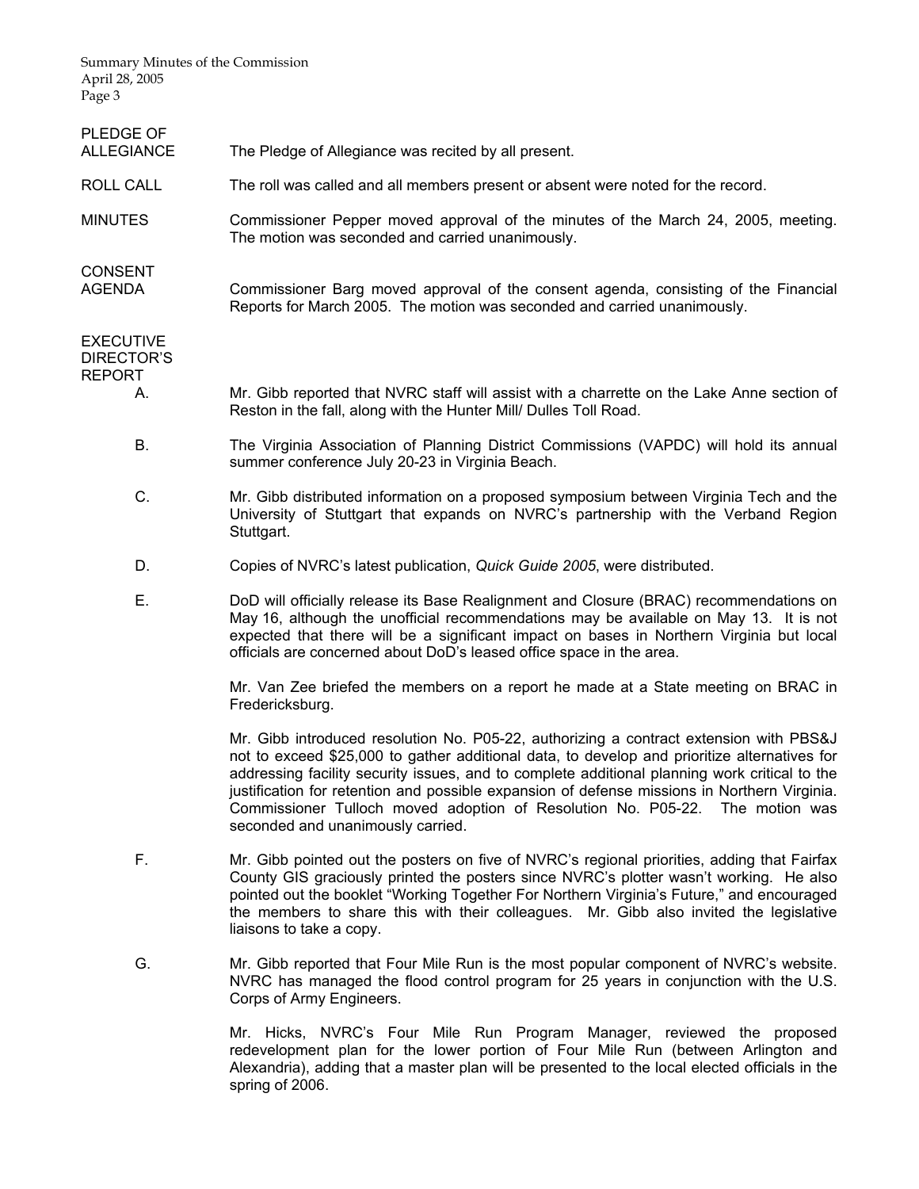Summary Minutes of the Commission April 28, 2005

| Page 3                                   |                                                                                                                                                                                                                                                                                                                                                                                                                                                                                                              |
|------------------------------------------|--------------------------------------------------------------------------------------------------------------------------------------------------------------------------------------------------------------------------------------------------------------------------------------------------------------------------------------------------------------------------------------------------------------------------------------------------------------------------------------------------------------|
| PLEDGE OF<br>ALLEGIANCE                  | The Pledge of Allegiance was recited by all present.                                                                                                                                                                                                                                                                                                                                                                                                                                                         |
| ROLL CALL                                | The roll was called and all members present or absent were noted for the record.                                                                                                                                                                                                                                                                                                                                                                                                                             |
| <b>MINUTES</b>                           | Commissioner Pepper moved approval of the minutes of the March 24, 2005, meeting.<br>The motion was seconded and carried unanimously.                                                                                                                                                                                                                                                                                                                                                                        |
| <b>CONSENT</b><br>AGENDA                 | Commissioner Barg moved approval of the consent agenda, consisting of the Financial<br>Reports for March 2005. The motion was seconded and carried unanimously.                                                                                                                                                                                                                                                                                                                                              |
| <b>EXECUTIVE</b><br>DIRECTOR'S<br>REPORT |                                                                                                                                                                                                                                                                                                                                                                                                                                                                                                              |
| А.                                       | Mr. Gibb reported that NVRC staff will assist with a charrette on the Lake Anne section of<br>Reston in the fall, along with the Hunter Mill/ Dulles Toll Road.                                                                                                                                                                                                                                                                                                                                              |
| В.                                       | The Virginia Association of Planning District Commissions (VAPDC) will hold its annual<br>summer conference July 20-23 in Virginia Beach.                                                                                                                                                                                                                                                                                                                                                                    |
| C.                                       | Mr. Gibb distributed information on a proposed symposium between Virginia Tech and the<br>University of Stuttgart that expands on NVRC's partnership with the Verband Region<br>Stuttgart.                                                                                                                                                                                                                                                                                                                   |
| D.                                       | Copies of NVRC's latest publication, Quick Guide 2005, were distributed.                                                                                                                                                                                                                                                                                                                                                                                                                                     |
| Ε.                                       | DoD will officially release its Base Realignment and Closure (BRAC) recommendations on<br>May 16, although the unofficial recommendations may be available on May 13. It is not<br>expected that there will be a significant impact on bases in Northern Virginia but local<br>officials are concerned about DoD's leased office space in the area.                                                                                                                                                          |
|                                          | Mr. Van Zee briefed the members on a report he made at a State meeting on BRAC in<br>Fredericksburg.                                                                                                                                                                                                                                                                                                                                                                                                         |
|                                          | Mr. Gibb introduced resolution No. P05-22, authorizing a contract extension with PBS&J<br>not to exceed \$25,000 to gather additional data, to develop and prioritize alternatives for<br>addressing facility security issues, and to complete additional planning work critical to the<br>justification for retention and possible expansion of defense missions in Northern Virginia.<br>Commissioner Tulloch moved adoption of Resolution No. P05-22. The motion was<br>seconded and unanimously carried. |
| F.                                       | Mr. Gibb pointed out the posters on five of NVRC's regional priorities, adding that Fairfax<br>County GIS graciously printed the posters since NVRC's plotter wasn't working. He also<br>pointed out the booklet "Working Together For Northern Virginia's Future," and encouraged<br>the members to share this with their colleagues. Mr. Gibb also invited the legislative<br>liaisons to take a copy.                                                                                                     |
| G.                                       | Mr. Gibb reported that Four Mile Run is the most popular component of NVRC's website.<br>NVRC has managed the flood control program for 25 years in conjunction with the U.S.<br>Corps of Army Engineers.                                                                                                                                                                                                                                                                                                    |
|                                          | Mr Highe NI/DC's Four Mile Dup Drearam Managar royiewed the proposed                                                                                                                                                                                                                                                                                                                                                                                                                                         |

 Mr. Hicks, NVRC's Four Mile Run Program Manager, reviewed the proposed redevelopment plan for the lower portion of Four Mile Run (between Arlington and Alexandria), adding that a master plan will be presented to the local elected officials in the spring of 2006.